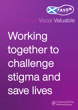

# Vocal Valuable

Working together to challenge stigma and save lives

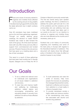## Introduction

aces and voices of recovery started to<br>organise and mobilise those affected<br>by the soaring amount of drug deaths<br>in Scotland during August 2019, shortly after aces and voices of recovery started to organise and mobilise those affected by the soaring amount of drug deaths the latest abhorrent rise in death numbers came out.

Over 60 volunteers have been mobilised and so far and three gatherings organised. Through our weekly steering group meetings, the decision to create FAVOR Scotland was made to take forward the work of the group. All of this work has been done with very little money and very little or support from commissioned and funded services. Phoenix Futures is the only service that have given us a meeting place and a few of their volunteers.

This report is a result of three gatherings that have been held monthly two in George Square, Glasgow one on Friday the 4th of

October in Maryhill community central halls. The first two events being open speaker public meetings, the third a conference to address the public grief and ask for a list of the problems and the solutions as the communities who are suffering most see it. Over 1600 people have taken part in our events so far and it is our intention to continue to organise and mobilise those who are most affected as the months and if necessary, years go on.

Scotland has a rich history of community organising and mobilising and some of the best policy in Europe with regards to the theoretical treatment of addiction. This document will clearly show that although policy in Scotland is first class, its effect on practice however is very limited.

## Our Goals

- 1. To be a unified and national voice for individuals and organisations on all issues related to addiction and recovery.
- 2. To save lives and improve health and wellbeing by challenging addiction related stigma and encouraging, empowering and educating people in recovery from addiction as well as those affected by addiction.
- 3. To build awareness and raise the profile of recovery. Help more people find recovery by spreading the message that prevention works, treatment is effective and recovery from addiction is a lived reality in millions of people's lives.
- 4. To provide mainstream society a highly visible and obvious solution to the overwhelming crisis many feel associated with alcohol and another drug addiction.

**2** FAVORUK: A UK wide charity registered with The Office of the Scottish Charity Regulator (OSCR) | Charity No is SC043961 Contact: Annemarie@facesandvoicesofrecoveryuk.org | Telephone: +44 7727 255808

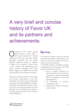# A very brief and concise history of Favor UK and its partners and achievements.

perational since 2009; gained<br>Charity status in 2012. Held 11<br>Conferences with over with over 45,000 charity status in 2012. Held 11 UK recovery walks and 11 Annual Conferences with over with over 45,000 attendees. Partnered with the largest addiction treatment charity's in England & Wales for the majority of these years – CGL, Human Kind, Kaleidoscope and others. Worked extensively with Public Health England and HMPPS and this year partnered with Arriva (transport company).

Produced numerous toolkits for advocates and services, advocated for over 300 individuals & numerous groups. Developed the widely acclaimed Declaration of Rights. Introduced and sustained Recovery month to the UK. Continually advocated for many pathways to be celebrated and calling out the false dichotomy that is harm reduction versus Abstinence

## Objectives

This report will make a clear and concise list of both the problems and solutions. This report will also offer a solution on how to measure success and failure.

The FAVOR Scotland committee engaged in organising the three events so far made clear their initial aims. They are:

- 1. That all people attending the events are heard and are given the opportunity to express themselves both the bereaved & those with lived experience.
- 2. An atmosphere of harmony, compassion & care.
- 3. People feel involved in helping to create change.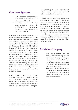## Core to our objectives

- That immediate implementation of the standards and principles be actioned from UNODC.
- Immediate action of the recommendations stated in UNODC-WHO International Standards for the Treatment of Drug Use Disorders.

Much of what we are recommending in this report has already been put forward on how to sustain recovery from alcohol & other drug problems. These issues have been examined by the United Nations Office on Drugs and Crime, (UNODC) National Institute of Health and Care Excellence (NICE), the Recovery Orientated Drug Treatment Expert Group (RODT) and the Advisory Council on the Misuse of Drugs (ACMD). This Report aims to bring these existing findings and recommendations on best practice together to increase their visibility and accessibility for the AOD treatment field here in Scotland and insist that these world class standards, principles & practice are implemented immediately and without delay.

FAVOR Scotland and members of the Scientific Consultation Working Group on Drug Policy, Health and Human Rights are in complete agreement that substance use disorders are a disease caused by developmental, biological,

neuropsychological, and psychosocial factors—and thus should be addressed within a public health framework.

UNODC Recommends Treating Addiction as Health, not as legal issue. To do this we need to reframe the addiction and recovery debate to one of rights-based approach and social determinants of health. Using the 4 titles from the paper 57/3 to 57/7 allows for the specific issues linked to treatment and recovery, to ask the questions of whether policy through to services are working towards these four domains in relations to social determinants of health and a rightsbased approach.

## Initial aims of the group

- 50% representation on all strategic decision-making groups/ committees starting in Glasgow including the new drug death task force. We expect this representation to be nationwide once established processes are in place.
- To ensure that we have a range of recovery expertise involved in the commissioning of service to ensure the right balance between efficacy and efficiency.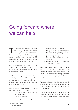## Going forward where we can help

To address the variation in range<br>and quality of services across<br>Scotland, and to support the Scotlish<br>Government to ensure that there is clear and quality of services across Scotland, and to support the Scottish Government to ensure that there is clear guidance on how money is spent, and in supporting a national monitoring of the implementation of quality standards.

We also aim to support the gaps in provision around joined up services – particularly for those with dual diagnosis and those released from prison.

Another current gap is around outcome monitoring and we will able to support this process along with increasing information sharing and transparency around the perceived gaps in data.

Our participants were also concerned to work with partners to address:

- 1. The link between substance use and deprivation
- 2. Health inequalities
- 3. Challenges of non-engagement

with services and DNA rates

- 4. The gaps created by spending cuts
- 5. The impact of spending cuts on drug-related deaths
- 6. The lack of an independent chair for the ADPs
- 7. The perceived lack of impact of Public Health Scotland

Our view is that public service planning and delivery should be influenced by community needs, and there should be a greater commitment to involving excluded and disenfranchised groups in decisionmaking.

We can make sure that the strengths and assets in our communities can be mobilised more effectively to address some of the issues above.

We are committed to co-production, strong leadership and the resulting impact on governance, performance, harm reduction and recovery.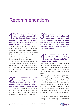## Recommendations

The first and most important recommendation we are calling<br>on the Scottish Government to **recommendation we are calling on the Scottish Government to urgently officially call a public health emergency in response to the number of drugs deaths in Scotland.** 

This is about targeting more resources immediately where they are needed. We recommend a joint response from councils, police health boards and the third sector to take immediate action to accelerate a nationally coordinated response to prevent further loss of life of our loved ones.

We are aware that Scottish Labour has said legal designation should be given that would allow ministers to urgently direct public bodies under an emergency situation and this designation must be enacted immediately.

**2** We recommend that commissioning is actioned fairly across the different NICE **commissioning is actioned fairly across the different NICE recommended paths to give our loved ones the best opportunity to recover.**  This means people have fair and equitable access to the recommended medicines to treat their opiate addiction – Including methadone, Buprenorphine, and Buvidal.

We also recommend that we admit that we have opiate and benzodiazepine services and **admit that we have opiate and benzodiazepine services and that our services are stuck treating only these drugs whilst new problem drugs appear on the market with alarming regularity that we neither treat not respond too.** 

#### We recommend that the individual's health and well being<br>be placed in the context of their **individual's health and wellbeing be placed in the context of their human right to health.**

We recommend that the commissioning budget is spilt three ways between medicine to stabilise us, residential rehab to help us live with our trauma and community rehab that teaches us to live well in the outside world.

The "Orange Book", the clinical guidelines for treating drug dependency in the UK, is clear that "residential rehabilitation may be an important option for some people requiring treatment for drug dependence" and that it is "especially suitable for those with the most complex needs and for those who have not benefited from previous community-based psychosocial treatment".

We will not accept that our experience of getting well in community and residential

**6 FAVORUK:** A UK wide charity registered with The Office of the Scottish Charity Regulator (OSCR) | Charity No is SC043961 Contact: Annemarie@facesandvoicesofrecoveryuk.org | Telephone: +44 7727 255808

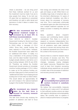rehab is anecdotal – we are living proof that these methods worked for us and the investment must be made if we are to stop people from dying. To be told over 25 years that our experience is anecdotal and therefore not valid is wilful denial and ignorance of what it takes to sustain long term recovery.

#### We also recommend that the national treatment budget is increased by at least 35% to **national treatment budget is increased by at least 35% to fulfil these recommendations.**

From 2015-16 to 2016-17, Scottish Government funding for Alcohol and Drug Partnerships was cut from £69.2 million to £53.8 million, a decrease of £15.4 million. Since then, overall funding has been restored to £73.8 million. However, the Scottish Government have called this an "additional £20 million". In reality, it is only a restoration of the previous funding level, and the latest Scottish Government budget actually delivers a real terms cut in drug funding between 2015-16 and 2019- 20. Therefore, we believe the Scottish Government should provide an immediate one-time funding package of £15.4 million to make up for the previous funding cut, and also make good on their promise of an "additional £20 million" by increasing annual funding from £73.8 million to £93.8 million. This would deliver an approximately 35 per cent increase in the national treatment budget in this Scottish Parliament term.

#### We recommend any research<br> **6** taken by the task force is<br>
focused on recovery research **taken by the task force is focused on recovery research from addiction.**

The task force should stop studying the problem of addiction and start to focus their energy and interests into what it that gets and keeps us well. While there is an incredibly large body of empirical data on the short-term effectiveness (1-2 years) of various treatment modalities, very little is known about the processes of recovery over time. This is particularly unfortunate as treatment gains are often short-lived and even multiple treatment episodes do not always succeed in breaking the addiction cycle.

Many questions about long-term recovery and contributing factors remain unanswered. First, there is a need for research on recovery independently from treatment effectiveness (see White, 2000); not all substance users seek treatment services to recover and among those who do, treatment represents but a short time in the context of the recovery process.

Second, there is a need for research about the process of recovery over time. This includes the investigation of psychosocial changes, necessary coping strategies and helpful resources. Researchers have much to learn from long-term recovering individuals whose experiences can provide a holistic view of the processes of addiction and recovery process over time.

#### We also recommend<br>Accountability from systems and<br>workers involved in substitute **Accountability from systems and workers involved in substitute prescribing.**

We believe that accountability measures should be put in place and if not adhered to that sufficient punitive actions are taken with regard to disciplinary and employability status. We currently have no systems in place to measure performance or progress.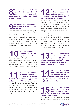We recommend that we again start to Invest in early intervention and prevention **again start to Invest in early intervention and prevention programmes especially in our schools & communities.** 

#### We recommend investment in<br>developing a trauma-informed<br>workforce. **developing a trauma-informed workforce.**

This cannot be stressed highly enough. It is not good enough for our workforce not to be trained in this area. They are dealing every day with highly traumatised people and are in themselves being exposed to trauma as a result. To not take care of them by proper training and supervision is only creating more issues for the whole of society.

#### **Members Recommend the creation of a lived experience panel. 10 13**

Listen to people with lived experience and who are recovered/ recovering – create a lived experience panel made up of people with the same professional experience and status that can direct the current taskforce.

**We recommend immediate access and choice to ALL evidencebased treatment & recovery pathways and choice to ALL evidence-<br>
based treatment & recovery pathways as listed by NICE & Orange guidelines.**  We should not accept excuses from with

the current NHS treatment services that this isn't possible. We must mandate it to make it possible and hold NHS and Scottish Government to account when it is not achieved.

#### **We recommend facilitated access to Mutual Aid across 12** We recommend<br>facilitated access to<br>Mutual Aid across<br>the treatment journey from point of **entry throughout to completion.**

Mutual aid is a free resource that is available in our community's 24/7. Public Health England has created guidance on how to best engage with the mutual aid communities from a commission, strategic, strategic and operation level. Immediately implant this guidance into our structures as matter of urgency. It is no longer acceptable for providers to be prejudice towards referring to this pathway to recovery and also recommend that as a Continued professional development marker, everyone from the top to the bottom attends at least 3 mutual aid open meetings per year.

**We recommend continued investment in high-quality OST of optimal dosage and duration for those who are too unstable or unable to try community or residential rehab.** 

**We recommend immediate access to Naloxone from every person, family member, worker and 14 body who might be associated with people who are at risk.** 

**We recommend medically supervised injecting facilities are seen as part of a wider solution and 15 placed in communities.** 

Medically supervised injecting facilities placed in communities are one small part

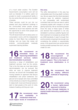of a much wider solution. The Scottish Government's consumption room will not work as intended. It is neither useful not prudent to build a purpose-built facility in the city centre that will only serve a handful of people.

These services could be put into our already built drug treatment buildings in the communities where people access treatment at much less expense and with the opportunity to serve more people and have far more impact.

The UK Government will not allow action on consumption rooms until the independent review by Carol Black has completed its findings, and we hope that review will endorse community-based medically supervised injecting facilities.

#### **We recommend an immediate focus on improving rehabilitation and treatment services before decriminalisation is pursued. 16 18**

Improving a range of rehabilitation and treatment services must be the priority. That is the first step we must take before decriminalisation can be pursued. But while we work to improve treatment services, we should still immediately start moving towards an approach that favours rehabilitation over prison sentences. Our jails are full of people who have committed crimes directly as a result of drug addiction. It makes both moral and financial sense to start to treat people at the point of crisis, instead of waiting until they are in jail.

**We recommend more bed availability in residential rehab and 17** We recommend more<br>bed availability in<br>residential rehab and<br>much higher levels of investment in

#### **this area.**

The wilful disinvestment in this area has undoubtably seen the drug death numbers rise. We are aware that the (Gold standard) evidence base for addiction treatment is not comparable with randomised controlled trials and that we have to admit comparing apples with oranges is at best glaring hypocrisy. We as recovering people know the value of these types of rehab and demand that investment is not only reinstated to previous austerity figures but that investment is increases by at least 35% pre 2009 standards. It wasn't enough then and its certainly not going to be enough now considering the problem is exponentially worse. It the government are worried about funding private business then don't, we can create our own.

recommend the **encouragement of abstinence with wrap around support. This is the basis of treatment once stabilisation is in place.** 

**We recommend that we employ different methods of dispensing O**<br> **19**<br> **19**<br> **19**<br> **19**<br> **19**<br> **19**<br> **19**<br> **19**<br> **19**<br> **19**<br> **19**<br> **19**<br> **19**<br> **19**<br> **19**<br> **19**<br> **19**<br> **19**<br> **19**<br> **19**<br> **19**<br> **19** 

**We recommend using a human rights-based approach to destroy labels & silos through Addiction & mental health Advocacy qualification (REACH). 20**

└YouKeepTalking<br> ̄WeKeepDying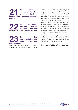**We recommend support for the whole family streamlined budgets following person not system or silos.**

**We recommend provision of HAT for patients for whom other have mean of HAT** for patients for whom other forms of OST have not been effective.

**Our final recommendation, is for a Minister of Recovery to be appointed. 23**

Given the current situation in Scotland, a dedicated minister is required to guide current legislation and Policy, ensuring that Drug deaths, Drug services, Drug research and Recovery are given the appropriate level of priority. They should have an overview of the service and commissioned services landscape to ensure best value for money, practice, research and that they are fit for purpose. They would also be responsible for ensuring that people with lived experience are involved as noted within our other recommendations without compromise.

Having a Recovery Minister or Recovery Champion as seen in England & America will be even more useful & beneficial in Scotland if we are about to transition to an environment of decriminalisation.

#### **#YouKeepTalkingWeKeepDying**

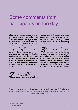## Some comments from participants on the day.

Wy partner Luke approached services for<br>his mental health  $\ast$  cocaine problem in the<br>lead up to Christmas 2017. Only to be told he<br>couldn't be treated for his mental health until his mental health & cocaine problem in the lead up to Christmas 2017. Only to be told he couldn't be treated for his mental health until his addiction was treated. When we tried to get help for his cocaine addiction it felt like a tick box exercise and he was offered an appointment 3 weeks ahead. Unfortunate he committed suicide in between Christmas and new year when the services were closed. The toxicology results proved that he was abstinent from all drugs but he obviously didn't get the support he needed. This Christmas will be terrible again for us all. Luke left behind me and our child to do this life on our own and we still can't believe he's not here."

"Our son Brian was left to rot on a<br>methadone prescription for 23 years<br>and street Valium finally took his life in methadone prescription for 23 years and street Valium finally took his life in

December 2018. In all the years he attended services he was never offered help to get off the drugs. We watched our son slowly die in front of our eyes over two decades until he was finally released from his torture."

Thy mother had a 4-week placement<br>in a community rehab back in 2006.<br>Since then she spent her life addicted in a community rehab back in 2006. Since then she spent her life addicted to prescription medication and on and off antibuse, binge drinking and basically knocking hell out of herself. My mother needed trauma therapy as she was neglected and abandoned as a child and abused by her husband, she did the best she could with the tools she was given but she still died because she never got the help she needed."

There will be another report/booklet produced over the next few months by FAVOR Scotland telling our personal stories and highlighting our loved one's experiences of those they have lost to the drug deaths crisis.